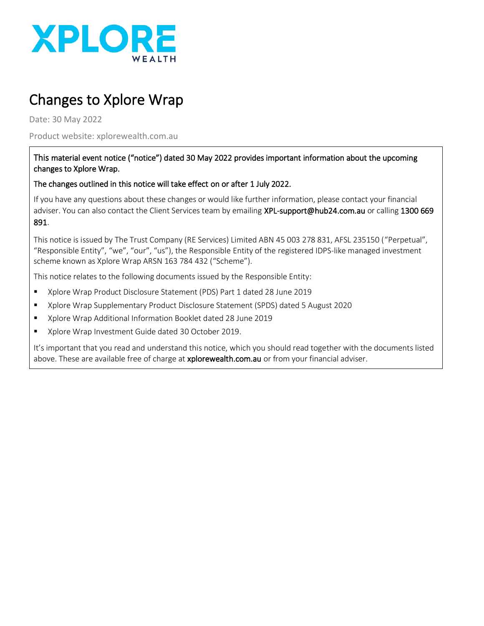

# Changes to Xplore Wrap

Date: 30 May 2022

Product website: xplorewealth.com.au

#### This material event notice ("notice") dated 30 May 2022 provides important information about the upcoming changes to Xplore Wrap.

#### The changes outlined in this notice will take effect on or after 1 July 2022.

If you have any questions about these changes or would like further information, please contact your financial adviser. You can also contact the Client Services team by emailing XPL-support@hub24.com.au or calling 1300 669 891.

This notice is issued by The Trust Company (RE Services) Limited ABN 45 003 278 831, AFSL 235150 ("Perpetual", "Responsible Entity", "we", "our", "us"), the Responsible Entity of the registered IDPS-like managed investment scheme known as Xplore Wrap ARSN 163 784 432 ("Scheme").

This notice relates to the following documents issued by the Responsible Entity:

- Xplore Wrap Product Disclosure Statement (PDS) Part 1 dated 28 June 2019
- Xplore Wrap Supplementary Product Disclosure Statement (SPDS) dated 5 August 2020
- Xplore Wrap Additional Information Booklet dated 28 June 2019
- Xplore Wrap Investment Guide dated 30 October 2019.

It's important that you read and understand this notice, which you should read together with the documents listed above. These are available free of charge at xplorewealth.com.au or from your financial adviser.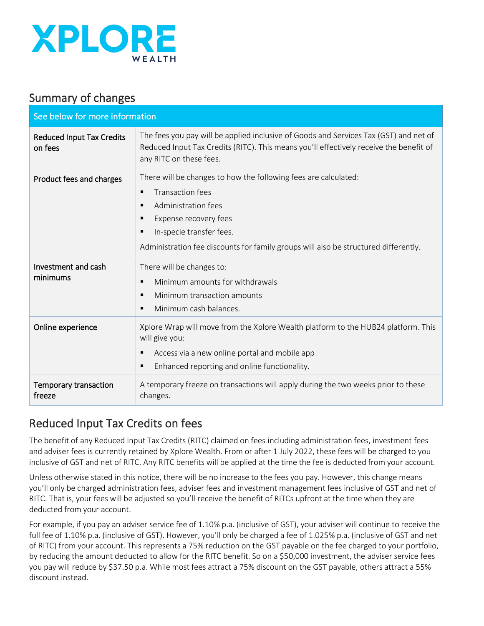

## Summary of changes

| See below for more information                       |                                                                                                                                                                                                                                                                                                                                                                                  |  |
|------------------------------------------------------|----------------------------------------------------------------------------------------------------------------------------------------------------------------------------------------------------------------------------------------------------------------------------------------------------------------------------------------------------------------------------------|--|
| <b>Reduced Input Tax Credits</b><br>on fees          | The fees you pay will be applied inclusive of Goods and Services Tax (GST) and net of<br>Reduced Input Tax Credits (RITC). This means you'll effectively receive the benefit of<br>any RITC on these fees.                                                                                                                                                                       |  |
| Product fees and charges                             | There will be changes to how the following fees are calculated:<br><b>Transaction fees</b><br>$\blacksquare$<br>Administration fees<br>٠<br>Expense recovery fees<br>٠<br>In-specie transfer fees.<br>٠<br>Administration fee discounts for family groups will also be structured differently.                                                                                   |  |
| Investment and cash<br>minimums<br>Online experience | There will be changes to:<br>Minimum amounts for withdrawals<br>$\blacksquare$<br>Minimum transaction amounts<br>$\blacksquare$<br>Minimum cash balances.<br>٠<br>Xplore Wrap will move from the Xplore Wealth platform to the HUB24 platform. This<br>will give you:<br>Access via a new online portal and mobile app<br>٠<br>Enhanced reporting and online functionality.<br>٠ |  |
| Temporary transaction<br>freeze                      | A temporary freeze on transactions will apply during the two weeks prior to these<br>changes.                                                                                                                                                                                                                                                                                    |  |

# Reduced Input Tax Credits on fees

The benefit of any Reduced Input Tax Credits (RITC) claimed on fees including administration fees, investment fees and adviser fees is currently retained by Xplore Wealth. From or after 1 July 2022, these fees will be charged to you inclusive of GST and net of RITC. Any RITC benefits will be applied at the time the fee is deducted from your account.

Unless otherwise stated in this notice, there will be no increase to the fees you pay. However, this change means you'll only be charged administration fees, adviser fees and investment management fees inclusive of GST and net of RITC. That is, your fees will be adjusted so you'll receive the benefit of RITCs upfront at the time when they are deducted from your account.

For example, if you pay an adviser service fee of 1.10% p.a. (inclusive of GST), your adviser will continue to receive the full fee of 1.10% p.a. (inclusive of GST). However, you'll only be charged a fee of 1.025% p.a. (inclusive of GST and net of RITC) from your account. This represents a 75% reduction on the GST payable on the fee charged to your portfolio, by reducing the amount deducted to allow for the RITC benefit. So on a \$50,000 investment, the adviser service fees you pay will reduce by \$37.50 p.a. While most fees attract a 75% discount on the GST payable, others attract a 55% discount instead.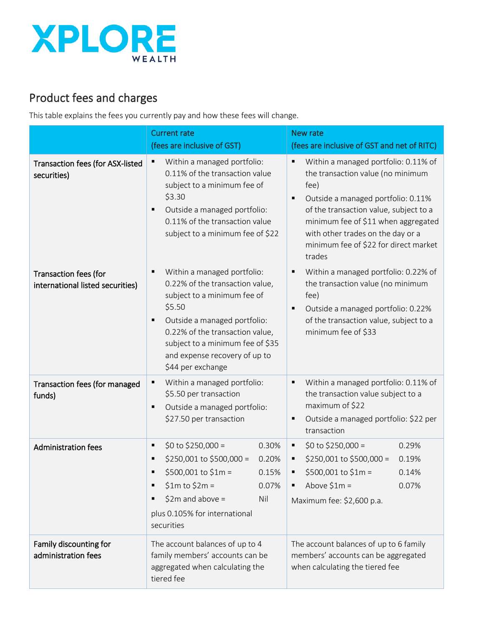

# Product fees and charges

This table explains the fees you currently pay and how these fees will change.

|                                                           | <b>Current rate</b>                                                                                                                                                                                                                                                            | <b>New rate</b>                                                                                                                                                                                                                                                                                       |
|-----------------------------------------------------------|--------------------------------------------------------------------------------------------------------------------------------------------------------------------------------------------------------------------------------------------------------------------------------|-------------------------------------------------------------------------------------------------------------------------------------------------------------------------------------------------------------------------------------------------------------------------------------------------------|
|                                                           | (fees are inclusive of GST)                                                                                                                                                                                                                                                    | (fees are inclusive of GST and net of RITC)                                                                                                                                                                                                                                                           |
| Transaction fees (for ASX-listed<br>securities)           | Within a managed portfolio:<br>٠<br>0.11% of the transaction value<br>subject to a minimum fee of<br>\$3.30<br>Outside a managed portfolio:<br>٠<br>0.11% of the transaction value<br>subject to a minimum fee of \$22                                                         | Within a managed portfolio: 0.11% of<br>the transaction value (no minimum<br>fee)<br>Outside a managed portfolio: 0.11%<br>٠<br>of the transaction value, subject to a<br>minimum fee of \$11 when aggregated<br>with other trades on the day or a<br>minimum fee of \$22 for direct market<br>trades |
| Transaction fees (for<br>international listed securities) | Within a managed portfolio:<br>٠<br>0.22% of the transaction value,<br>subject to a minimum fee of<br>\$5.50<br>Outside a managed portfolio:<br>٠<br>0.22% of the transaction value,<br>subject to a minimum fee of \$35<br>and expense recovery of up to<br>\$44 per exchange | Within a managed portfolio: 0.22% of<br>the transaction value (no minimum<br>fee)<br>Outside a managed portfolio: 0.22%<br>of the transaction value, subject to a<br>minimum fee of \$33                                                                                                              |
| Transaction fees (for managed<br>funds)                   | Within a managed portfolio:<br>٠<br>\$5.50 per transaction<br>Outside a managed portfolio:<br>٠<br>\$27.50 per transaction                                                                                                                                                     | Within a managed portfolio: 0.11% of<br>٠<br>the transaction value subject to a<br>maximum of \$22<br>Outside a managed portfolio: \$22 per<br>transaction                                                                                                                                            |
| <b>Administration fees</b>                                | $$0 to $250,000 =$<br>0.30%<br>٠<br>$$250,001$ to $$500,000 =$<br>0.20%<br>٠<br>\$500,001 to \$1m =<br>0.15%<br>٠<br>$$1m$ to $$2m =$<br>0.07%<br>٠<br>$$2m$ and above =<br>Nil<br>٠<br>plus 0.105% for international<br>securities                                            | $$0 to $250,000 =$<br>0.29%<br>٠<br>\$250,001 to \$500,000 =<br>0.19%<br>\$500,001 to \$1m =<br>0.14%<br>Above $$1m =$<br>0.07%<br>٠<br>Maximum fee: \$2,600 p.a.                                                                                                                                     |
| Family discounting for<br>administration fees             | The account balances of up to 4<br>family members' accounts can be<br>aggregated when calculating the<br>tiered fee                                                                                                                                                            | The account balances of up to 6 family<br>members' accounts can be aggregated<br>when calculating the tiered fee                                                                                                                                                                                      |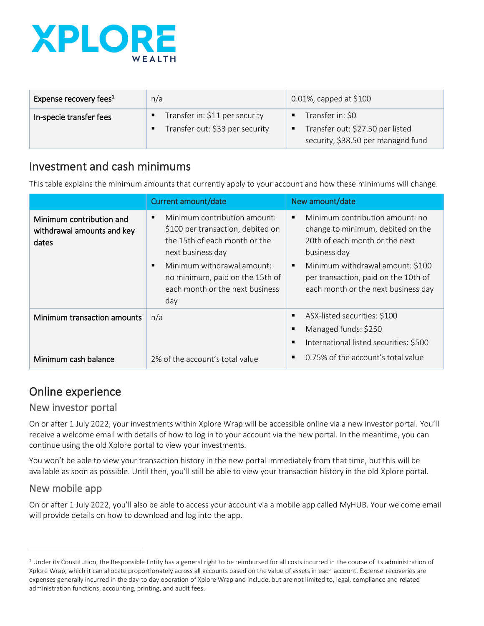

| Expense recovery fees <sup>1</sup> | n/a                                                                    | 0.01%, capped at \$100                                                                                            |
|------------------------------------|------------------------------------------------------------------------|-------------------------------------------------------------------------------------------------------------------|
| In-specie transfer fees            | Transfer in: \$11 per security<br>Е<br>Transfer out: \$33 per security | Transfer in: \$0<br>$\blacksquare$<br>Transfer out: \$27.50 per listed<br>п<br>security, \$38.50 per managed fund |

#### Investment and cash minimums

This table explains the minimum amounts that currently apply to your account and how these minimums will change.

|                                                                 | Current amount/date                                                                                                                                                                                                                                       | New amount/date                                                                                                                                                                                                                                                               |
|-----------------------------------------------------------------|-----------------------------------------------------------------------------------------------------------------------------------------------------------------------------------------------------------------------------------------------------------|-------------------------------------------------------------------------------------------------------------------------------------------------------------------------------------------------------------------------------------------------------------------------------|
| Minimum contribution and<br>withdrawal amounts and key<br>dates | Minimum contribution amount:<br>٠<br>\$100 per transaction, debited on<br>the 15th of each month or the<br>next business day<br>Minimum withdrawal amount:<br>$\blacksquare$<br>no minimum, paid on the 15th of<br>each month or the next business<br>day | Minimum contribution amount: no<br>$\blacksquare$<br>change to minimum, debited on the<br>20th of each month or the next<br>business day<br>Minimum withdrawal amount: \$100<br>$\blacksquare$<br>per transaction, paid on the 10th of<br>each month or the next business day |
| Minimum transaction amounts                                     | n/a                                                                                                                                                                                                                                                       | ASX-listed securities: \$100<br>$\blacksquare$<br>Managed funds: \$250<br>п<br>International listed securities: \$500<br>$\blacksquare$                                                                                                                                       |
| Minimum cash balance                                            | 2% of the account's total value                                                                                                                                                                                                                           | 0.75% of the account's total value<br>$\blacksquare$                                                                                                                                                                                                                          |

### Online experience

#### New investor portal

On or after 1 July 2022, your investments within Xplore Wrap will be accessible online via a new investor portal. You'll receive a welcome email with details of how to log in to your account via the new portal. In the meantime, you can continue using the old Xplore portal to view your investments.

You won't be able to view your transaction history in the new portal immediately from that time, but this will be available as soon as possible. Until then, you'll still be able to view your transaction history in the old Xplore portal.

#### New mobile app

On or after 1 July 2022, you'll also be able to access your account via a mobile app called MyHUB. Your welcome email will provide details on how to download and log into the app.

 $1$  Under its Constitution, the Responsible Entity has a general right to be reimbursed for all costs incurred in the course of its administration of Xplore Wrap, which it can allocate proportionately across all accounts based on the value of assets in each account. Expense recoveries are expenses generally incurred in the day-to day operation of Xplore Wrap and include, but are not limited to, legal, compliance and related administration functions, accounting, printing, and audit fees.